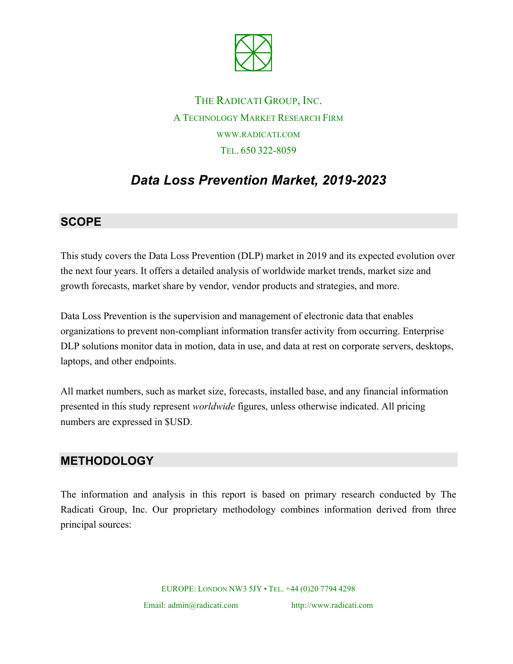

THE RADICATI GROUP, INC. A TECHNOLOGY MARKET RESEARCH FIRM WWW.RADICATI.COM TEL. 650 322-8059

# *Data Loss Prevention Market, 2019-2023*

#### **SCOPE**

This study covers the Data Loss Prevention (DLP) market in 2019 and its expected evolution over the next four years. It offers a detailed analysis of worldwide market trends, market size and growth forecasts, market share by vendor, vendor products and strategies, and more.

Data Loss Prevention is the supervision and management of electronic data that enables organizations to prevent non-compliant information transfer activity from occurring. Enterprise DLP solutions monitor data in motion, data in use, and data at rest on corporate servers, desktops, laptops, and other endpoints.

All market numbers, such as market size, forecasts, installed base, and any financial information presented in this study represent *worldwide* figures, unless otherwise indicated. All pricing numbers are expressed in \$USD.

## **METHODOLOGY**

The information and analysis in this report is based on primary research conducted by The Radicati Group, Inc. Our proprietary methodology combines information derived from three principal sources:

EUROPE: LONDON NW3 5JY • TEL. +44 (0)20 7794 4298

Email: admin@radicati.com http://www.radicati.com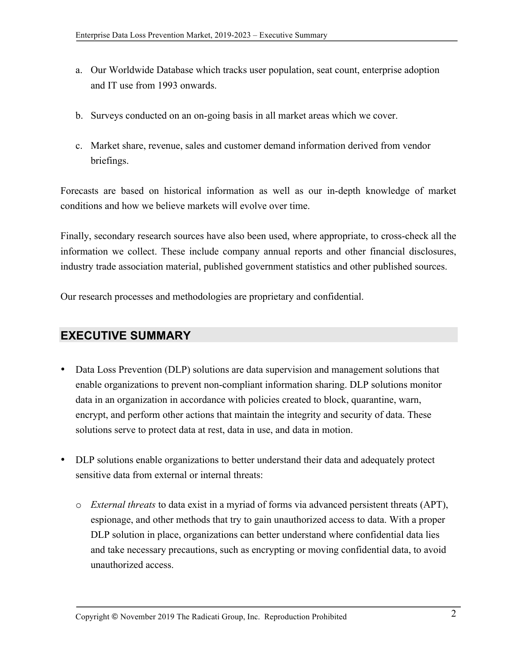- a. Our Worldwide Database which tracks user population, seat count, enterprise adoption and IT use from 1993 onwards.
- b. Surveys conducted on an on-going basis in all market areas which we cover.
- c. Market share, revenue, sales and customer demand information derived from vendor briefings.

Forecasts are based on historical information as well as our in-depth knowledge of market conditions and how we believe markets will evolve over time.

Finally, secondary research sources have also been used, where appropriate, to cross-check all the information we collect. These include company annual reports and other financial disclosures, industry trade association material, published government statistics and other published sources.

Our research processes and methodologies are proprietary and confidential.

## **EXECUTIVE SUMMARY**

- Data Loss Prevention (DLP) solutions are data supervision and management solutions that enable organizations to prevent non-compliant information sharing. DLP solutions monitor data in an organization in accordance with policies created to block, quarantine, warn, encrypt, and perform other actions that maintain the integrity and security of data. These solutions serve to protect data at rest, data in use, and data in motion.
- DLP solutions enable organizations to better understand their data and adequately protect sensitive data from external or internal threats:
	- o *External threats* to data exist in a myriad of forms via advanced persistent threats (APT), espionage, and other methods that try to gain unauthorized access to data. With a proper DLP solution in place, organizations can better understand where confidential data lies and take necessary precautions, such as encrypting or moving confidential data, to avoid unauthorized access.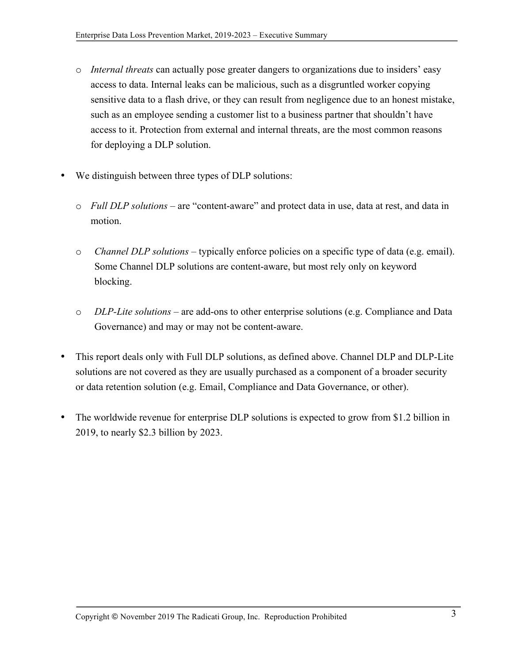- o *Internal threats* can actually pose greater dangers to organizations due to insiders' easy access to data. Internal leaks can be malicious, such as a disgruntled worker copying sensitive data to a flash drive, or they can result from negligence due to an honest mistake, such as an employee sending a customer list to a business partner that shouldn't have access to it. Protection from external and internal threats, are the most common reasons for deploying a DLP solution.
- We distinguish between three types of DLP solutions:
	- o *Full DLP solutions* are "content-aware" and protect data in use, data at rest, and data in motion.
	- o *Channel DLP solutions* typically enforce policies on a specific type of data (e.g. email). Some Channel DLP solutions are content-aware, but most rely only on keyword blocking.
	- o *DLP-Lite solutions* are add-ons to other enterprise solutions (e.g. Compliance and Data Governance) and may or may not be content-aware.
- This report deals only with Full DLP solutions, as defined above. Channel DLP and DLP-Lite solutions are not covered as they are usually purchased as a component of a broader security or data retention solution (e.g. Email, Compliance and Data Governance, or other).
- The worldwide revenue for enterprise DLP solutions is expected to grow from \$1.2 billion in 2019, to nearly \$2.3 billion by 2023.